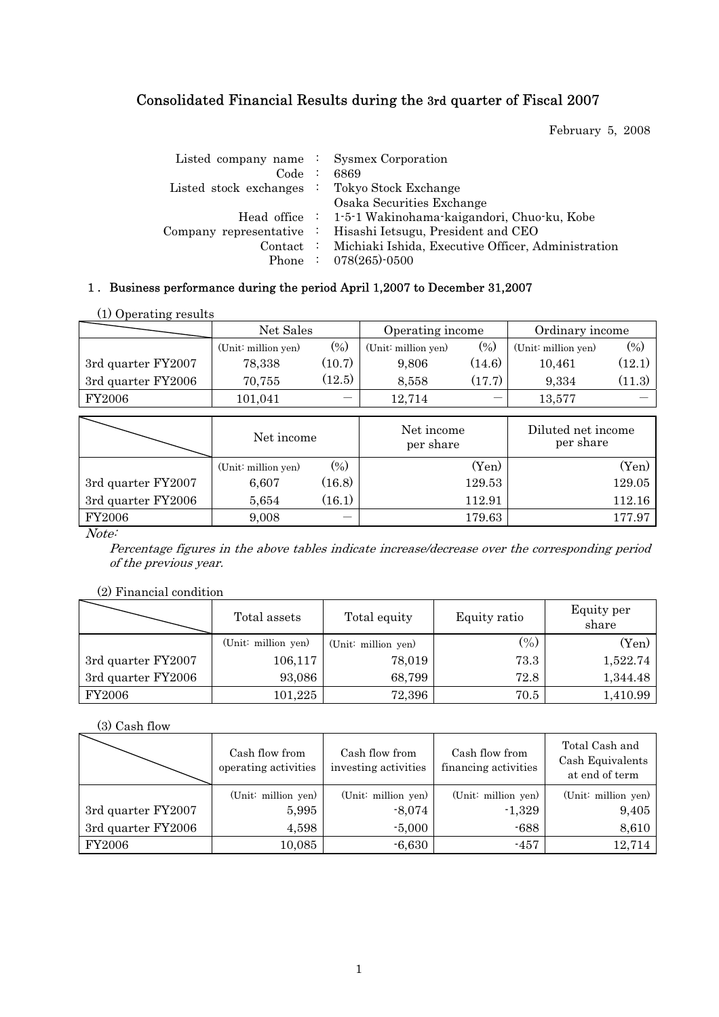# Consolidated Financial Results during the 3rd quarter of Fiscal 2007

February 5, 2008

| Listed company name : Sysmex Corporation<br>Code : 6869<br>Listed stock exchanges : Tokyo Stock Exchange | Osaka Securities Exchange                                                                                                                                                                                           |
|----------------------------------------------------------------------------------------------------------|---------------------------------------------------------------------------------------------------------------------------------------------------------------------------------------------------------------------|
|                                                                                                          | Head office : 1-5-1 Wakinohama-kaigandori, Chuo-ku, Kobe<br>Company representative : Hisashi Ietsugu, President and CEO<br>Contact : Michiaki Ishida, Executive Officer, Administration<br>Phone : $078(265)$ -0500 |

# 1. Business performance during the period April 1,2007 to December 31,2007

| (1) Operating results |                     |        |                     |        |                     |          |
|-----------------------|---------------------|--------|---------------------|--------|---------------------|----------|
|                       | Net Sales           |        | Operating income    |        | Ordinary income     |          |
|                       | (Unit: million yen) | $(\%)$ | (Unit: million yen) | $(\%)$ | (Unit: million yen) | $(\%)$   |
| 3rd quarter FY2007    | 78,338              | (10.7) | 9.806               | (14.6) | 10.461              | $(12.1)$ |
| 3rd quarter FY2006    | 70,755              | (12.5) | 8,558               | (17.7) | 9.334               | (11.3)   |
| <b>FY2006</b>         | 101.041             |        | 12.714              |        | 13.577              |          |

|                    | Net income          |        | Net income<br>per share | Diluted net income<br>per share |  |
|--------------------|---------------------|--------|-------------------------|---------------------------------|--|
|                    | (Unit: million yen) | $(\%)$ | (Yen)                   | $({\rm Yen})$                   |  |
| 3rd quarter FY2007 | 6.607               | (16.8) | 129.53                  | 129.05                          |  |
| 3rd quarter FY2006 | 5,654               | (16.1) | 112.91                  | 112.16                          |  |
| FY2006             | 9,008               |        | 179.63                  | 177.97                          |  |

Note:

Percentage figures in the above tables indicate increase/decrease over the corresponding period of the previous year.

### (2) Financial condition

|                    | Total assets        | Total equity        | Equity ratio | Equity per<br>share |
|--------------------|---------------------|---------------------|--------------|---------------------|
|                    | (Unit: million yen) | (Unit: million yen) | (0/0)        | (Yen)               |
| 3rd quarter FY2007 | 106,117             | 78,019              | 73.3         | 1,522.74            |
| 3rd quarter FY2006 | 93,086              | 68,799              | 72.8         | 1,344.48            |
| FY2006             | 101,225             | 72,396              | 70.5         | 1,410.99            |

(3) Cash flow

|                    | Cash flow from<br>operating activities | Cash flow from<br>investing activities | Cash flow from<br>financing activities | Total Cash and<br>Cash Equivalents<br>at end of term |
|--------------------|----------------------------------------|----------------------------------------|----------------------------------------|------------------------------------------------------|
|                    | (Unit: million yen)                    | (Unit: million yen)                    | (Unit: million yen)                    | (Unit: million yen)                                  |
| 3rd quarter FY2007 | 5,995                                  | $-8,074$                               | $-1,329$                               | 9,405                                                |
| 3rd quarter FY2006 | 4,598                                  | $-5,000$                               | $-688$                                 | 8,610                                                |
| FY2006             | 10,085                                 | $-6,630$                               | $-457$                                 | 12,714                                               |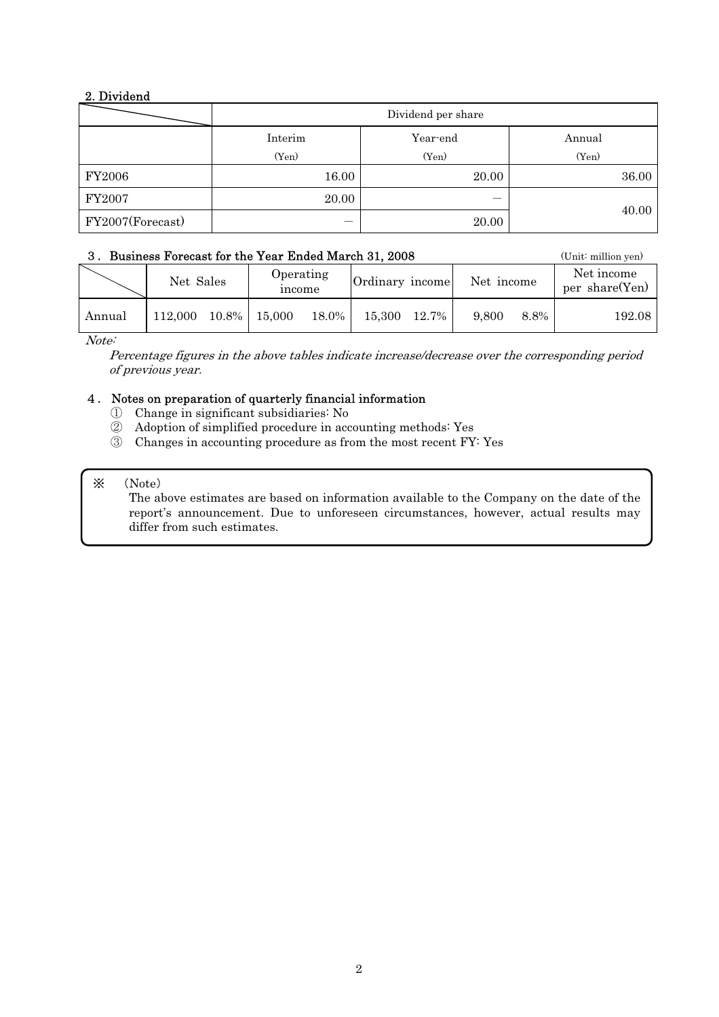## 2. Dividend

|                  | Dividend per share |          |        |  |  |  |  |  |
|------------------|--------------------|----------|--------|--|--|--|--|--|
|                  | Interim            | Year-end | Annual |  |  |  |  |  |
|                  | (Yen)              | (Yen)    | (Yen)  |  |  |  |  |  |
| <b>FY2006</b>    | 16.00              | 20.00    | 36.00  |  |  |  |  |  |
| FY2007           | 20.00              |          |        |  |  |  |  |  |
| FY2007(Forecast) | –                  | 20.00    | 40.00  |  |  |  |  |  |

### 3. Business Forecast for the Year Ended March 31, 2008 (Unit: million yen)

| 0. Dashicss Forceast for the Tear Bliacu march of, 2000 |                             |  |                     |          |                               |  |                              | $\overline{C}$ |        |
|---------------------------------------------------------|-----------------------------|--|---------------------|----------|-------------------------------|--|------------------------------|----------------|--------|
|                                                         | Net Sales                   |  | Operating<br>income |          | Ordinary income<br>Net income |  | Net income<br>per share(Yen) |                |        |
| Annual                                                  | $112,000$ $10.8\%$   15,000 |  |                     | $18.0\%$ | 15.300 12.7%                  |  | 9.800                        | 8.8%           | 192.08 |

Note:

Percentage figures in the above tables indicate increase/decrease over the corresponding period of previous year.

### 㧠㧚-Notes on preparation of quarterly financial information

- Ԙ- Change in significant subsidiaries: No
- $\circled{2}$ Adoption of simplified procedure in accounting methods: Yes
- Ԛ- Changes in accounting procedure as from the most recent FY: Yes

#### $\times$ (Note)

The above estimates are based on information available to the Company on the date of the report's announcement. Due to unforeseen circumstances, however, actual results may differ from such estimates.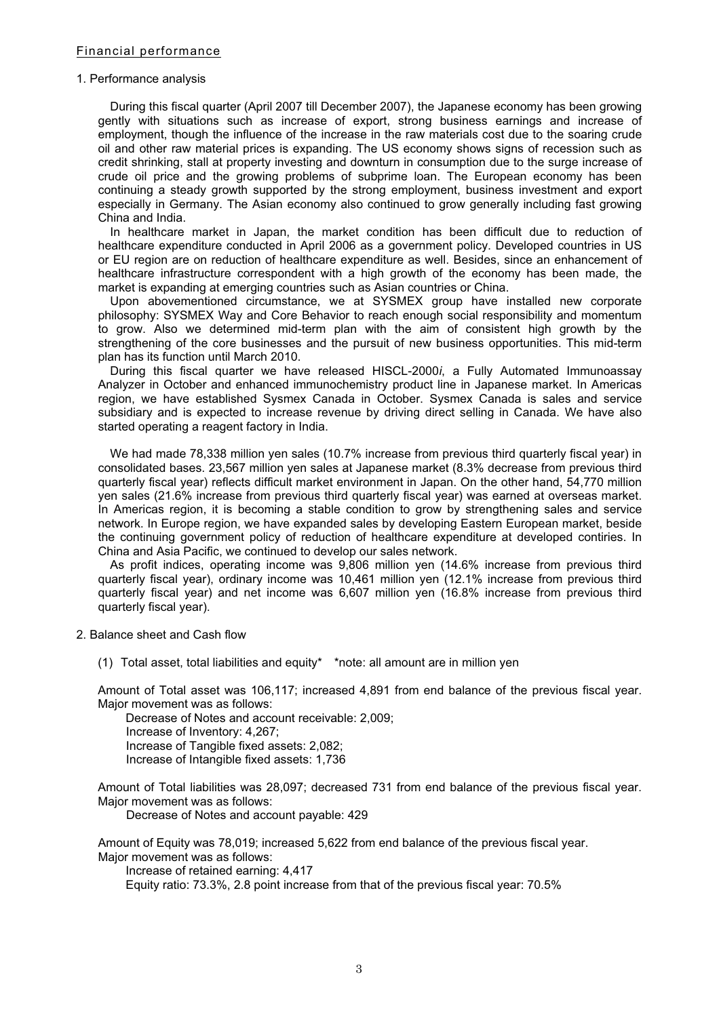#### 1. Performance analysis

During this fiscal quarter (April 2007 till December 2007), the Japanese economy has been growing gently with situations such as increase of export, strong business earnings and increase of employment, though the influence of the increase in the raw materials cost due to the soaring crude oil and other raw material prices is expanding. The US economy shows signs of recession such as credit shrinking, stall at property investing and downturn in consumption due to the surge increase of crude oil price and the growing problems of subprime loan. The European economy has been continuing a steady growth supported by the strong employment, business investment and export especially in Germany. The Asian economy also continued to grow generally including fast growing China and India.

In healthcare market in Japan, the market condition has been difficult due to reduction of healthcare expenditure conducted in April 2006 as a government policy. Developed countries in US or EU region are on reduction of healthcare expenditure as well. Besides, since an enhancement of healthcare infrastructure correspondent with a high growth of the economy has been made, the market is expanding at emerging countries such as Asian countries or China.

Upon abovementioned circumstance, we at SYSMEX group have installed new corporate philosophy: SYSMEX Way and Core Behavior to reach enough social responsibility and momentum to grow. Also we determined mid-term plan with the aim of consistent high growth by the strengthening of the core businesses and the pursuit of new business opportunities. This mid-term plan has its function until March 2010.

During this fiscal quarter we have released HISCL-2000*i*, a Fully Automated Immunoassay Analyzer in October and enhanced immunochemistry product line in Japanese market. In Americas region, we have established Sysmex Canada in October. Sysmex Canada is sales and service subsidiary and is expected to increase revenue by driving direct selling in Canada. We have also started operating a reagent factory in India.

We had made 78,338 million yen sales (10.7% increase from previous third quarterly fiscal year) in consolidated bases. 23,567 million yen sales at Japanese market (8.3% decrease from previous third quarterly fiscal year) reflects difficult market environment in Japan. On the other hand, 54,770 million yen sales (21.6% increase from previous third quarterly fiscal year) was earned at overseas market. In Americas region, it is becoming a stable condition to grow by strengthening sales and service network. In Europe region, we have expanded sales by developing Eastern European market, beside the continuing government policy of reduction of healthcare expenditure at developed contiries. In China and Asia Pacific, we continued to develop our sales network.

As profit indices, operating income was 9,806 million yen (14.6% increase from previous third quarterly fiscal year), ordinary income was 10,461 million yen (12.1% increase from previous third quarterly fiscal year) and net income was 6,607 million yen (16.8% increase from previous third quarterly fiscal year).

- 2. Balance sheet and Cash flow
	- (1) Total asset, total liabilities and equity\* \*note: all amount are in million yen

Amount of Total asset was 106,117; increased 4,891 from end balance of the previous fiscal year. Major movement was as follows:

 Decrease of Notes and account receivable: 2,009; Increase of Inventory: 4,267; Increase of Tangible fixed assets: 2,082; Increase of Intangible fixed assets: 1,736

Amount of Total liabilities was 28,097; decreased 731 from end balance of the previous fiscal year. Major movement was as follows:

Decrease of Notes and account payable: 429

Amount of Equity was 78,019; increased 5,622 from end balance of the previous fiscal year. Major movement was as follows:

Increase of retained earning: 4,417

Equity ratio: 73.3%, 2.8 point increase from that of the previous fiscal year: 70.5%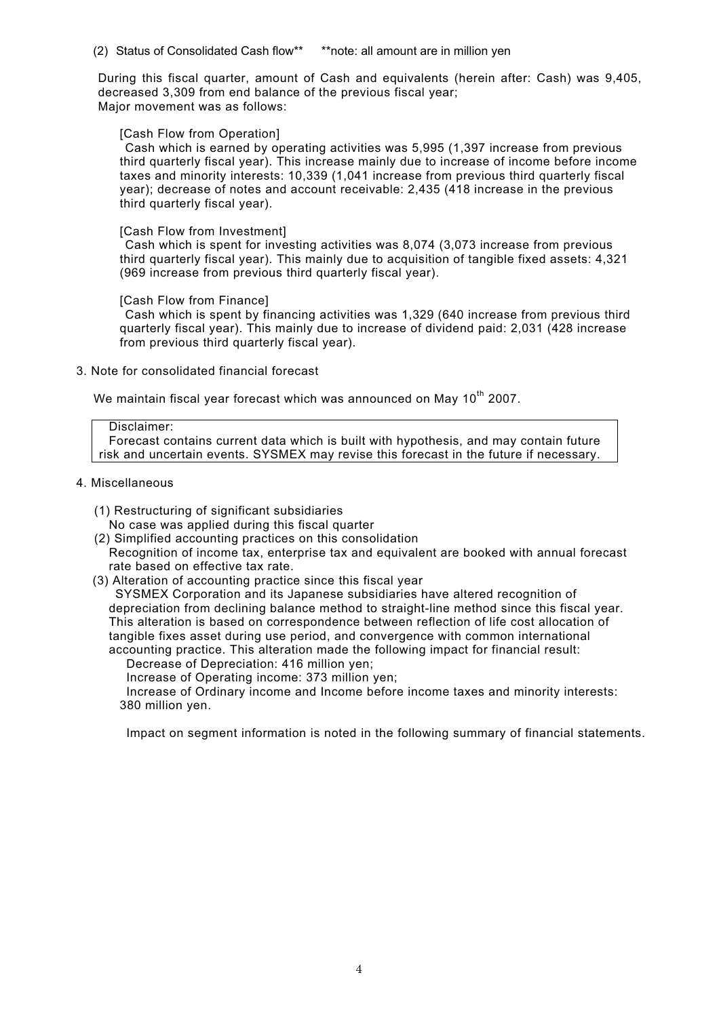(2) Status of Consolidated Cash flow\*\* \*\*note: all amount are in million yen

During this fiscal quarter, amount of Cash and equivalents (herein after: Cash) was 9,405, decreased 3,309 from end balance of the previous fiscal year; Major movement was as follows:

#### [Cash Flow from Operation]

Cash which is earned by operating activities was 5,995 (1,397 increase from previous third quarterly fiscal year). This increase mainly due to increase of income before income taxes and minority interests: 10,339 (1,041 increase from previous third quarterly fiscal year); decrease of notes and account receivable: 2,435 (418 increase in the previous third quarterly fiscal year).

#### [Cash Flow from Investment]

Cash which is spent for investing activities was 8,074 (3,073 increase from previous third quarterly fiscal year). This mainly due to acquisition of tangible fixed assets: 4,321 (969 increase from previous third quarterly fiscal year).

[Cash Flow from Finance]

Cash which is spent by financing activities was 1,329 (640 increase from previous third quarterly fiscal year). This mainly due to increase of dividend paid: 2,031 (428 increase from previous third quarterly fiscal year).

3. Note for consolidated financial forecast

We maintain fiscal year forecast which was announced on May  $10^{th}$  2007.

#### Disclaimer:

Forecast contains current data which is built with hypothesis, and may contain future risk and uncertain events. SYSMEX may revise this forecast in the future if necessary.

- 4. Miscellaneous
	- (1) Restructuring of significant subsidiaries
	- No case was applied during this fiscal quarter (2) Simplified accounting practices on this consolidation
	- Recognition of income tax, enterprise tax and equivalent are booked with annual forecast rate based on effective tax rate.
	- (3) Alteration of accounting practice since this fiscal year

SYSMEX Corporation and its Japanese subsidiaries have altered recognition of depreciation from declining balance method to straight-line method since this fiscal year. This alteration is based on correspondence between reflection of life cost allocation of tangible fixes asset during use period, and convergence with common international accounting practice. This alteration made the following impact for financial result:

Decrease of Depreciation: 416 million yen;

Increase of Operating income: 373 million yen;

Increase of Ordinary income and Income before income taxes and minority interests: 380 million yen.

Impact on segment information is noted in the following summary of financial statements.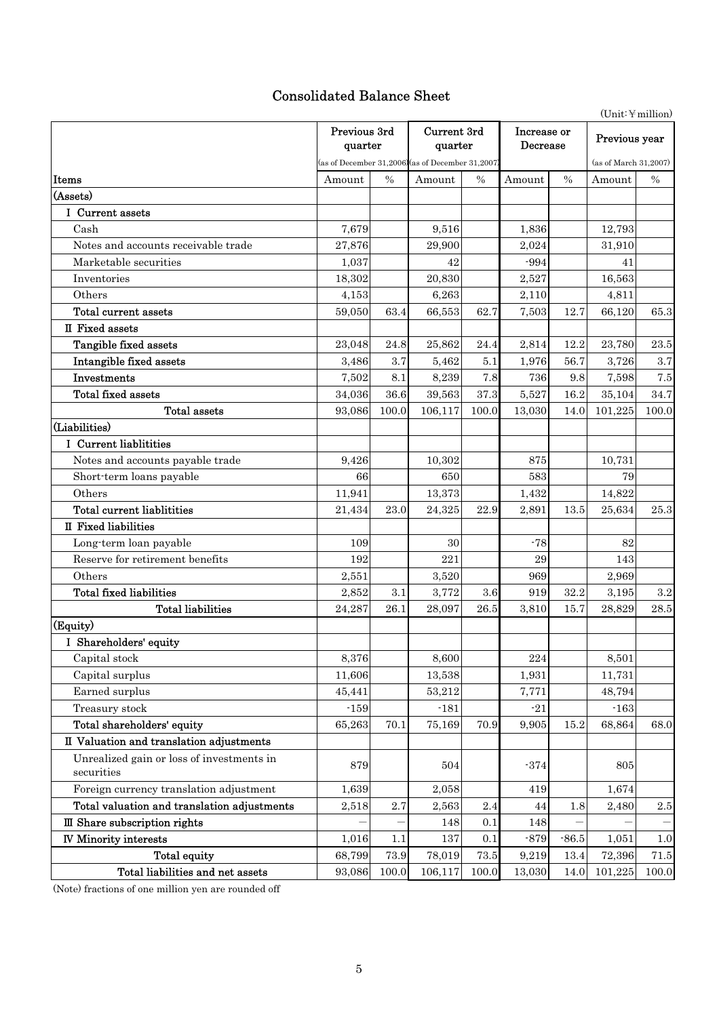# Consolidated Balance Sheet

|                                                         |                         | $(Unit:\mathcal{H}\text{million})$ |                                                  |               |                         |         |                       |           |
|---------------------------------------------------------|-------------------------|------------------------------------|--------------------------------------------------|---------------|-------------------------|---------|-----------------------|-----------|
|                                                         | Previous 3rd<br>quarter |                                    | Current 3rd<br>quarter                           |               | Increase or<br>Decrease |         | Previous year         |           |
|                                                         |                         |                                    | (as of December 31,2006) (as of December 31,2007 |               |                         |         | (as of March 31,2007) |           |
| Items                                                   | Amount                  | $\frac{0}{0}$                      | Amount                                           | $\frac{0}{0}$ | Amount                  | $\%$    | Amount                | $\%$      |
| (Assets)                                                |                         |                                    |                                                  |               |                         |         |                       |           |
| I Current assets                                        |                         |                                    |                                                  |               |                         |         |                       |           |
| Cash                                                    | 7,679                   |                                    | 9,516                                            |               | 1,836                   |         | 12,793                |           |
| Notes and accounts receivable trade                     | 27,876                  |                                    | 29,900                                           |               | 2,024                   |         | 31,910                |           |
| Marketable securities                                   | 1,037                   |                                    | 42                                               |               | $-994$                  |         | 41                    |           |
| Inventories                                             | 18,302                  |                                    | 20,830                                           |               | 2,527                   |         | 16,563                |           |
| Others                                                  | 4,153                   |                                    | 6,263                                            |               | 2,110                   |         | 4,811                 |           |
| Total current assets                                    | 59,050                  | 63.4                               | 66,553                                           | 62.7          | 7,503                   | 12.7    | 66,120                | 65.3      |
| II Fixed assets                                         |                         |                                    |                                                  |               |                         |         |                       |           |
| Tangible fixed assets                                   | 23,048                  | 24.8                               | 25,862                                           | 24.4          | 2,814                   | 12.2    | 23,780                | 23.5      |
| Intangible fixed assets                                 | 3,486                   | 3.7                                | 5,462                                            | 5.1           | 1,976                   | 56.7    | 3,726                 | 3.7       |
| Investments                                             | 7,502                   | 8.1                                | 8,239                                            | 7.8           | 736                     | 9.8     | 7,598                 | 7.5       |
| <b>Total fixed assets</b>                               | 34,036                  | 36.6                               | 39,563                                           | 37.3          | 5,527                   | 16.2    | 35,104                | 34.7      |
| Total assets                                            | 93,086                  | 100.0                              | 106,117                                          | 100.0         | 13,030                  | 14.0    | 101,225               | 100.0     |
| (Liabilities)                                           |                         |                                    |                                                  |               |                         |         |                       |           |
| I Current liablitities                                  |                         |                                    |                                                  |               |                         |         |                       |           |
| Notes and accounts payable trade                        | 9,426                   |                                    | 10,302                                           |               | 875                     |         | 10,731                |           |
| Short-term loans payable                                | 66                      |                                    | 650                                              |               | 583                     |         | 79                    |           |
| Others                                                  | 11,941                  |                                    | 13,373                                           |               | 1,432                   |         | 14,822                |           |
| <b>Total current liablitities</b>                       | 21,434                  | 23.0                               | 24,325                                           | 22.9          | 2,891                   | 13.5    | 25,634                | 25.3      |
| II Fixed liabilities                                    |                         |                                    |                                                  |               |                         |         |                       |           |
| Long-term loan payable                                  | 109                     |                                    | 30                                               |               | $-78$                   |         | 82                    |           |
| Reserve for retirement benefits                         | 192                     |                                    | 221                                              |               | 29                      |         | 143                   |           |
| Others                                                  | 2,551                   |                                    | 3,520                                            |               | 969                     |         | 2,969                 |           |
| <b>Total fixed liabilities</b>                          | 2,852                   | 3.1                                | 3,772                                            | 3.6           | 919                     | 32.2    | 3,195                 | $\!3.2\!$ |
| <b>Total liabilities</b>                                | 24,287                  | 26.1                               | 28,097                                           | 26.5          | 3,810                   | 15.7    | 28,829                | 28.5      |
| (Equity)                                                |                         |                                    |                                                  |               |                         |         |                       |           |
| I Shareholders' equity                                  |                         |                                    |                                                  |               |                         |         |                       |           |
| Capital stock                                           | 8,376                   |                                    | 8,600                                            |               | 224                     |         | 8,501                 |           |
| Capital surplus                                         | 11,606                  |                                    | 13,538                                           |               | 1,931                   |         | 11,731                |           |
| Earned surplus                                          | 45,441                  |                                    | 53,212                                           |               | 7,771                   |         | 48,794                |           |
| Treasury stock                                          | $-159$                  |                                    | $-181$                                           |               | $-21$                   |         | $-163$                |           |
| Total shareholders' equity                              | 65,263                  | 70.1                               | 75,169                                           | 70.9          | 9,905                   | 15.2    | 68,864                | 68.0      |
| II Valuation and translation adjustments                |                         |                                    |                                                  |               |                         |         |                       |           |
| Unrealized gain or loss of investments in<br>securities | 879                     |                                    | 504                                              |               | $-374$                  |         | 805                   |           |
| Foreign currency translation adjustment                 | 1,639                   |                                    | 2,058                                            |               | 419                     |         | 1,674                 |           |
| Total valuation and translation adjustments             | 2,518                   | 2.7                                | 2,563                                            | 2.4           | 44                      | 1.8     | 2,480                 | $2.5\,$   |
| III Share subscription rights                           |                         |                                    | 148                                              | 0.1           | 148                     |         |                       |           |
| <b>IV Minority interests</b>                            | 1,016                   | 1.1                                | 137                                              | 0.1           | $-879$                  | $-86.5$ | 1,051                 | 1.0       |
| Total equity                                            | 68,799                  | 73.9                               | 78,019                                           | 73.5          | 9,219                   | 13.4    | 72,396                | 71.5      |
| Total liabilities and net assets                        | 93,086                  | 100.0                              | 106,117                                          | 100.0         | 13,030                  | 14.0    | 101,225               | 100.0     |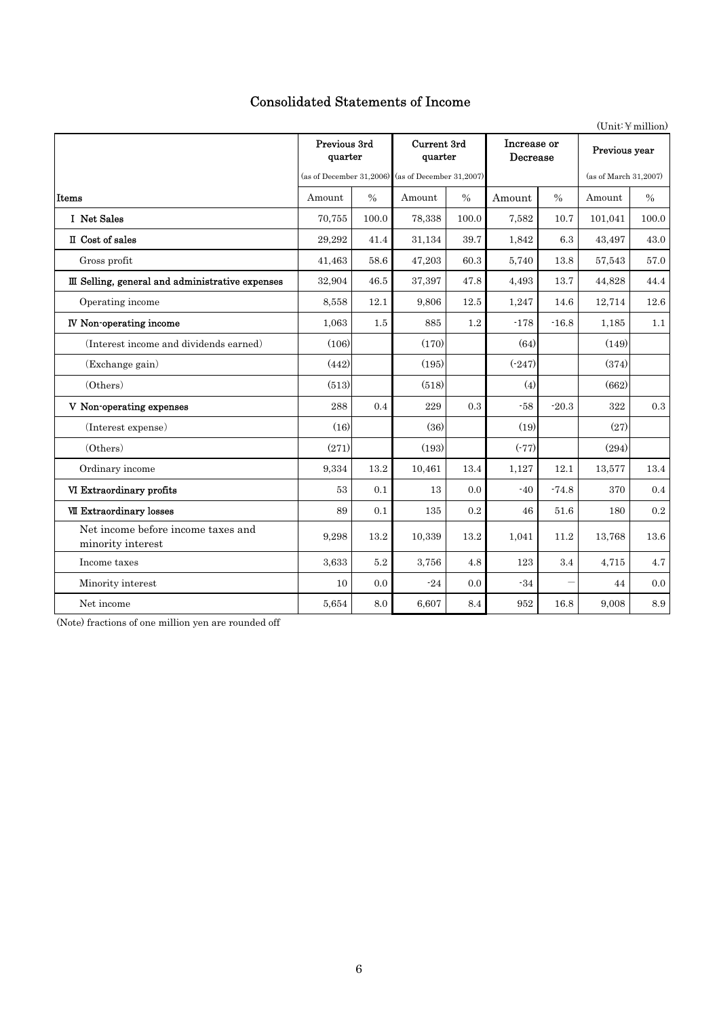# Consolidated Statements of Income

|                                                         |                         |         |                                                   |               |                         |                          |                       | (Unit: 4 million) |
|---------------------------------------------------------|-------------------------|---------|---------------------------------------------------|---------------|-------------------------|--------------------------|-----------------------|-------------------|
|                                                         | Previous 3rd<br>quarter |         | <b>Current 3rd</b><br>quarter                     |               | Increase or<br>Decrease |                          | Previous year         |                   |
|                                                         |                         |         | (as of December 31,2006) (as of December 31,2007) |               |                         |                          | (as of March 31,2007) |                   |
| Items                                                   | Amount                  | $\%$    | Amount                                            | $\frac{0}{0}$ | Amount                  | $\frac{0}{0}$            | Amount                | $\frac{0}{0}$     |
| I Net Sales                                             | 70,755                  | 100.0   | 78,338                                            | 100.0         | 7,582                   | 10.7                     | 101,041               | 100.0             |
| II Cost of sales                                        | 29,292                  | 41.4    | 31,134                                            | 39.7          | 1,842                   | 6.3                      | 43,497                | 43.0              |
| Gross profit                                            | 41,463                  | 58.6    | 47,203                                            | 60.3          | 5,740                   | 13.8                     | 57,543                | 57.0              |
| III Selling, general and administrative expenses        | 32,904                  | 46.5    | 37,397                                            | 47.8          | 4,493                   | 13.7                     | 44,828                | 44.4              |
| Operating income                                        | 8,558                   | 12.1    | 9,806                                             | 12.5          | 1,247                   | 14.6                     | 12,714                | 12.6              |
| <b>IV</b> Non-operating income                          | 1,063                   | 1.5     | 885                                               | 1.2           | $-178$                  | $-16.8$                  | 1,185                 | 1.1               |
| (Interest income and dividends earned)                  | (106)                   |         | (170)                                             |               | (64)                    |                          | (149)                 |                   |
| (Exchange gain)                                         | (442)                   |         | (195)                                             |               | $(-247)$                |                          | (374)                 |                   |
| (Others)                                                | (513)                   |         | (518)                                             |               | (4)                     |                          | (662)                 |                   |
| V Non-operating expenses                                | 288                     | 0.4     | 229                                               | 0.3           | $-58$                   | $-20.3$                  | 322                   | 0.3               |
| (Interest expense)                                      | (16)                    |         | (36)                                              |               | (19)                    |                          | (27)                  |                   |
| (Others)                                                | (271)                   |         | (193)                                             |               | $(-77)$                 |                          | (294)                 |                   |
| Ordinary income                                         | 9,334                   | 13.2    | 10,461                                            | 13.4          | 1,127                   | 12.1                     | 13,577                | 13.4              |
| VI Extraordinary profits                                | 53                      | 0.1     | 13                                                | 0.0           | $-40$                   | $-74.8$                  | 370                   | 0.4               |
| <b>VII Extraordinary losses</b>                         | 89                      | 0.1     | 135                                               | 0.2           | 46                      | 51.6                     | 180                   | 0.2               |
| Net income before income taxes and<br>minority interest | 9,298                   | 13.2    | 10.339                                            | 13.2          | 1.041                   | 11.2                     | 13.768                | 13.6              |
| Income taxes                                            | 3,633                   | $5.2\,$ | 3,756                                             | 4.8           | 123                     | 3.4                      | 4,715                 | 4.7               |
| Minority interest                                       | 10                      | 0.0     | $-24$                                             | 0.0           | $-34$                   | $\overline{\phantom{0}}$ | 44                    | 0.0               |
| Net income                                              | 5,654                   | 8.0     | 6,607                                             | 8.4           | 952                     | 16.8                     | 9,008                 | 8.9               |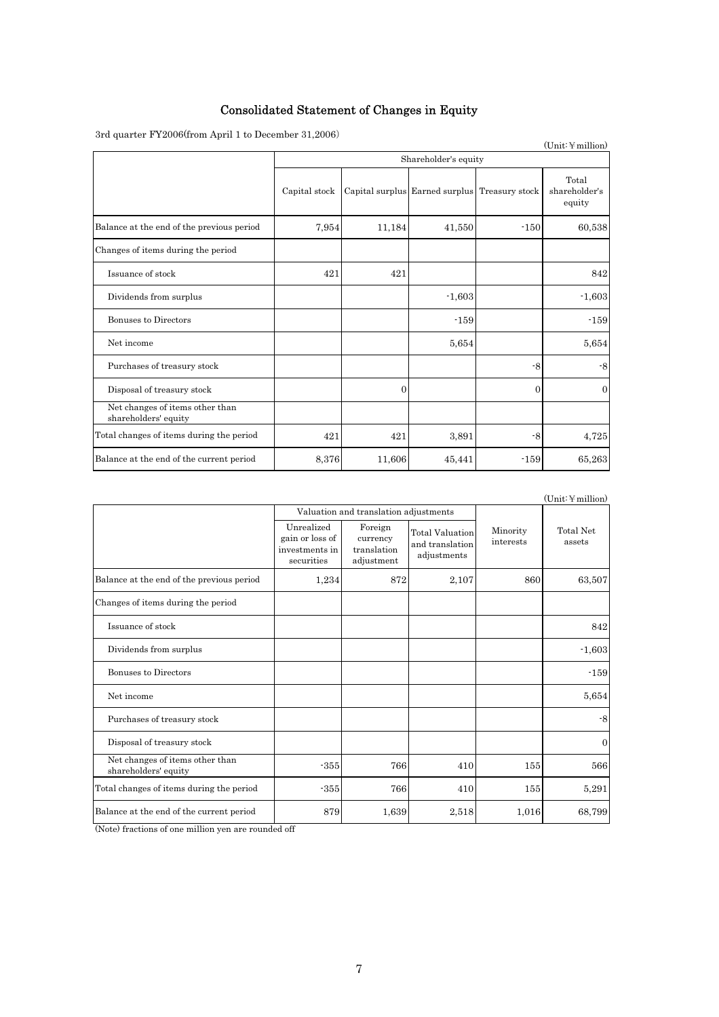# Consolidated Statement of Changes in Equity

 $3$ rd quarter ${\rm FY2006}$  (from April 1 to December 31,2006)

| $\alpha$ quarter 1 12000\trom tiptif 1 to December 01,2000/ |               |                      |                                               |          | (Unit:Y million)                 |  |  |  |
|-------------------------------------------------------------|---------------|----------------------|-----------------------------------------------|----------|----------------------------------|--|--|--|
|                                                             |               | Shareholder's equity |                                               |          |                                  |  |  |  |
|                                                             | Capital stock |                      | Capital surplus Earned surplus Treasury stock |          | Total<br>shareholder's<br>equity |  |  |  |
| Balance at the end of the previous period                   | 7,954         | 11,184               | 41,550                                        | $-150$   | 60,538                           |  |  |  |
| Changes of items during the period                          |               |                      |                                               |          |                                  |  |  |  |
| Issuance of stock                                           | 421           | 421                  |                                               |          | 842                              |  |  |  |
| Dividends from surplus                                      |               |                      | $-1,603$                                      |          | $-1,603$                         |  |  |  |
| Bonuses to Directors                                        |               |                      | $-159$                                        |          | $-159$                           |  |  |  |
| Net income                                                  |               |                      | 5,654                                         |          | 5,654                            |  |  |  |
| Purchases of treasury stock                                 |               |                      |                                               | $-8$     | $-8$                             |  |  |  |
| Disposal of treasury stock                                  |               | $\theta$             |                                               | $\Omega$ | $\overline{0}$                   |  |  |  |
| Net changes of items other than<br>shareholders' equity     |               |                      |                                               |          |                                  |  |  |  |
| Total changes of items during the period                    | 421           | 421                  | 3,891                                         | -8       | 4,725                            |  |  |  |
| Balance at the end of the current period                    | 8,376         | 11,606               | 45,441                                        | $-159$   | 65,263                           |  |  |  |

|                                                         |                                                               |                                                  |                                                          |                       | $(Unit: \n  \n  million)$ |
|---------------------------------------------------------|---------------------------------------------------------------|--------------------------------------------------|----------------------------------------------------------|-----------------------|---------------------------|
|                                                         |                                                               | Valuation and translation adjustments            |                                                          |                       |                           |
|                                                         | Unrealized<br>gain or loss of<br>investments in<br>securities | Foreign<br>currency<br>translation<br>adjustment | <b>Total Valuation</b><br>and translation<br>adjustments | Minority<br>interests | Total Net<br>assets       |
| Balance at the end of the previous period               | 1,234                                                         | 872                                              | 2,107                                                    | 860                   | 63,507                    |
| Changes of items during the period                      |                                                               |                                                  |                                                          |                       |                           |
| Issuance of stock                                       |                                                               |                                                  |                                                          |                       | 842                       |
| Dividends from surplus                                  |                                                               |                                                  |                                                          |                       | $-1,603$                  |
| Bonuses to Directors                                    |                                                               |                                                  |                                                          |                       | $-159$                    |
| Net income                                              |                                                               |                                                  |                                                          |                       | 5,654                     |
| Purchases of treasury stock                             |                                                               |                                                  |                                                          |                       | -8                        |
| Disposal of treasury stock                              |                                                               |                                                  |                                                          |                       | $\theta$                  |
| Net changes of items other than<br>shareholders' equity | $-355$                                                        | 766                                              | 410                                                      | 155                   | 566                       |
| Total changes of items during the period                | $-355$                                                        | 766                                              | 410                                                      | 155                   | 5,291                     |
| Balance at the end of the current period                | 879                                                           | 1,639                                            | 2,518                                                    | 1,016                 | 68,799                    |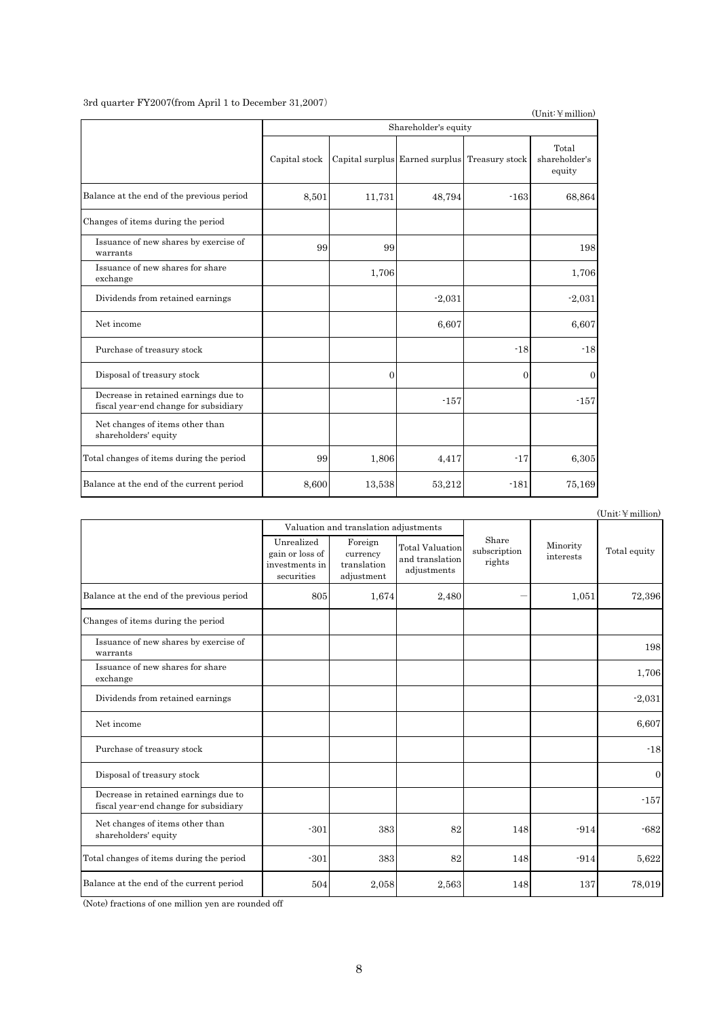$3$ rd quarter FY2007(from April 1 to December 31,2007)

|                                                                               |               |              |                                               |                | $(Unit:$ ¥ million)              |
|-------------------------------------------------------------------------------|---------------|--------------|-----------------------------------------------|----------------|----------------------------------|
|                                                                               |               |              | Shareholder's equity                          |                |                                  |
|                                                                               | Capital stock |              | Capital surplus Earned surplus Treasury stock |                | Total<br>shareholder's<br>equity |
| Balance at the end of the previous period                                     | 8,501         | 11,731       | 48,794                                        | $-163$         | 68,864                           |
| Changes of items during the period                                            |               |              |                                               |                |                                  |
| Issuance of new shares by exercise of<br>warrants                             | 99            | 99           |                                               |                | 198                              |
| Issuance of new shares for share<br>exchange                                  |               | 1,706        |                                               |                | 1,706                            |
| Dividends from retained earnings                                              |               |              | $-2,031$                                      |                | $-2,031$                         |
| Net income                                                                    |               |              | 6,607                                         |                | 6,607                            |
| Purchase of treasury stock                                                    |               |              |                                               | $-18$          | $-18$                            |
| Disposal of treasury stock                                                    |               | $\mathbf{0}$ |                                               | $\overline{0}$ | $\overline{0}$                   |
| Decrease in retained earnings due to<br>fiscal year-end change for subsidiary |               |              | $-157$                                        |                | $-157$                           |
| Net changes of items other than<br>shareholders' equity                       |               |              |                                               |                |                                  |
| Total changes of items during the period                                      | 99            | 1,806        | 4,417                                         | $-17$          | 6,305                            |
| Balance at the end of the current period                                      | 8,600         | 13,538       | 53,212                                        | $-181$         | 75,169                           |

|                                                                               |                                                               |                                                  |                                                          |                                 |                       | $(Unit:$ ¥ million) |
|-------------------------------------------------------------------------------|---------------------------------------------------------------|--------------------------------------------------|----------------------------------------------------------|---------------------------------|-----------------------|---------------------|
|                                                                               |                                                               | Valuation and translation adjustments            |                                                          |                                 |                       |                     |
|                                                                               | Unrealized<br>gain or loss of<br>investments in<br>securities | Foreign<br>currency<br>translation<br>adjustment | <b>Total Valuation</b><br>and translation<br>adjustments | Share<br>subscription<br>rights | Minority<br>interests | Total equity        |
| Balance at the end of the previous period                                     | 805                                                           | 1,674                                            | 2,480                                                    |                                 | 1,051                 | 72,396              |
| Changes of items during the period                                            |                                                               |                                                  |                                                          |                                 |                       |                     |
| Issuance of new shares by exercise of<br>warrants                             |                                                               |                                                  |                                                          |                                 |                       | 198                 |
| Issuance of new shares for share<br>exchange                                  |                                                               |                                                  |                                                          |                                 |                       | 1,706               |
| Dividends from retained earnings                                              |                                                               |                                                  |                                                          |                                 |                       | $-2,031$            |
| Net income                                                                    |                                                               |                                                  |                                                          |                                 |                       | 6,607               |
| Purchase of treasury stock                                                    |                                                               |                                                  |                                                          |                                 |                       | $-18$               |
| Disposal of treasury stock                                                    |                                                               |                                                  |                                                          |                                 |                       | $\mathbf{0}$        |
| Decrease in retained earnings due to<br>fiscal year-end change for subsidiary |                                                               |                                                  |                                                          |                                 |                       | $-157$              |
| Net changes of items other than<br>shareholders' equity                       | $-301$                                                        | 383                                              | 82                                                       | 148                             | $-914$                | $-682$              |
| Total changes of items during the period                                      | $-301$                                                        | 383                                              | 82                                                       | 148                             | $-914$                | 5,622               |
| Balance at the end of the current period                                      | 504                                                           | 2,058                                            | 2,563                                                    | 148                             | 137                   | 78,019              |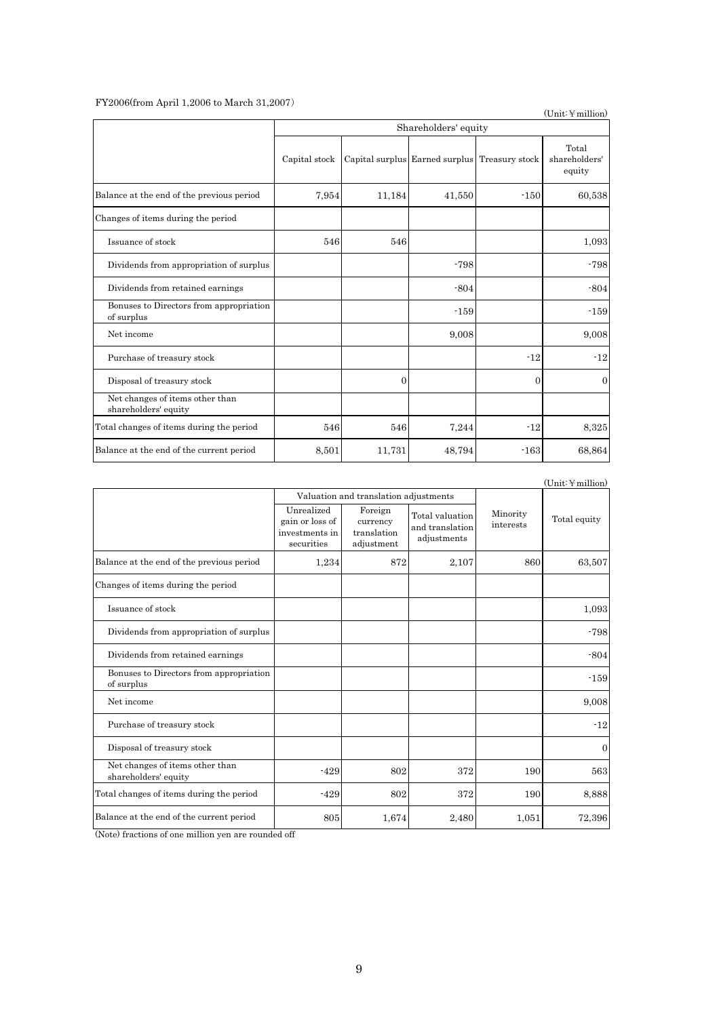### FY2006(from April 1,2006 to March 31,2007)

 $(Unit: \n *simillion*)$ 

|                                                         | Shareholders' equity |          |                                               |          |                                  |  |  |  |  |
|---------------------------------------------------------|----------------------|----------|-----------------------------------------------|----------|----------------------------------|--|--|--|--|
|                                                         | Capital stock        |          | Capital surplus Earned surplus Treasury stock |          | Total<br>shareholders'<br>equity |  |  |  |  |
| Balance at the end of the previous period               | 7,954                | 11,184   | 41,550                                        | $-150$   | 60,538                           |  |  |  |  |
| Changes of items during the period                      |                      |          |                                               |          |                                  |  |  |  |  |
| Issuance of stock                                       | 546                  | 546      |                                               |          | 1,093                            |  |  |  |  |
| Dividends from appropriation of surplus                 |                      |          | $-798$                                        |          | $-798$                           |  |  |  |  |
| Dividends from retained earnings                        |                      |          | $-804$                                        |          | $-804$                           |  |  |  |  |
| Bonuses to Directors from appropriation<br>of surplus   |                      |          | $-159$                                        |          | $-159$                           |  |  |  |  |
| Net income                                              |                      |          | 9,008                                         |          | 9,008                            |  |  |  |  |
| Purchase of treasury stock                              |                      |          |                                               | $-12$    | $-12$                            |  |  |  |  |
| Disposal of treasury stock                              |                      | $\Omega$ |                                               | $\theta$ | $\Omega$                         |  |  |  |  |
| Net changes of items other than<br>shareholders' equity |                      |          |                                               |          |                                  |  |  |  |  |
| Total changes of items during the period                | 546                  | 546      | 7,244                                         | $-12$    | 8,325                            |  |  |  |  |
| Balance at the end of the current period                | 8,501                | 11,731   | 48,794                                        | $-163$   | 68,864                           |  |  |  |  |

 $(Unit:\mathcal{H}\text{million})$ 

|                                                         |                                                               | Valuation and translation adjustments            |                                                   |                       |              |
|---------------------------------------------------------|---------------------------------------------------------------|--------------------------------------------------|---------------------------------------------------|-----------------------|--------------|
|                                                         | Unrealized<br>gain or loss of<br>investments in<br>securities | Foreign<br>currency<br>translation<br>adjustment | Total valuation<br>and translation<br>adjustments | Minority<br>interests | Total equity |
| Balance at the end of the previous period               | 1,234                                                         | 872                                              | 2,107                                             | 860                   | 63,507       |
| Changes of items during the period                      |                                                               |                                                  |                                                   |                       |              |
| Issuance of stock                                       |                                                               |                                                  |                                                   |                       | 1,093        |
| Dividends from appropriation of surplus                 |                                                               |                                                  |                                                   |                       | $-798$       |
| Dividends from retained earnings                        |                                                               |                                                  |                                                   |                       | $-804$       |
| Bonuses to Directors from appropriation<br>of surplus   |                                                               |                                                  |                                                   |                       | $-159$       |
| Net income                                              |                                                               |                                                  |                                                   |                       | 9,008        |
| Purchase of treasury stock                              |                                                               |                                                  |                                                   |                       | $-12$        |
| Disposal of treasury stock                              |                                                               |                                                  |                                                   |                       | $\mathbf{0}$ |
| Net changes of items other than<br>shareholders' equity | $-429$                                                        | 802                                              | 372                                               | 190                   | 563          |
| Total changes of items during the period                | $-429$                                                        | 802                                              | 372                                               | 190                   | 8,888        |
| Balance at the end of the current period                | 805                                                           | 1,674                                            | 2,480                                             | 1,051                 | 72,396       |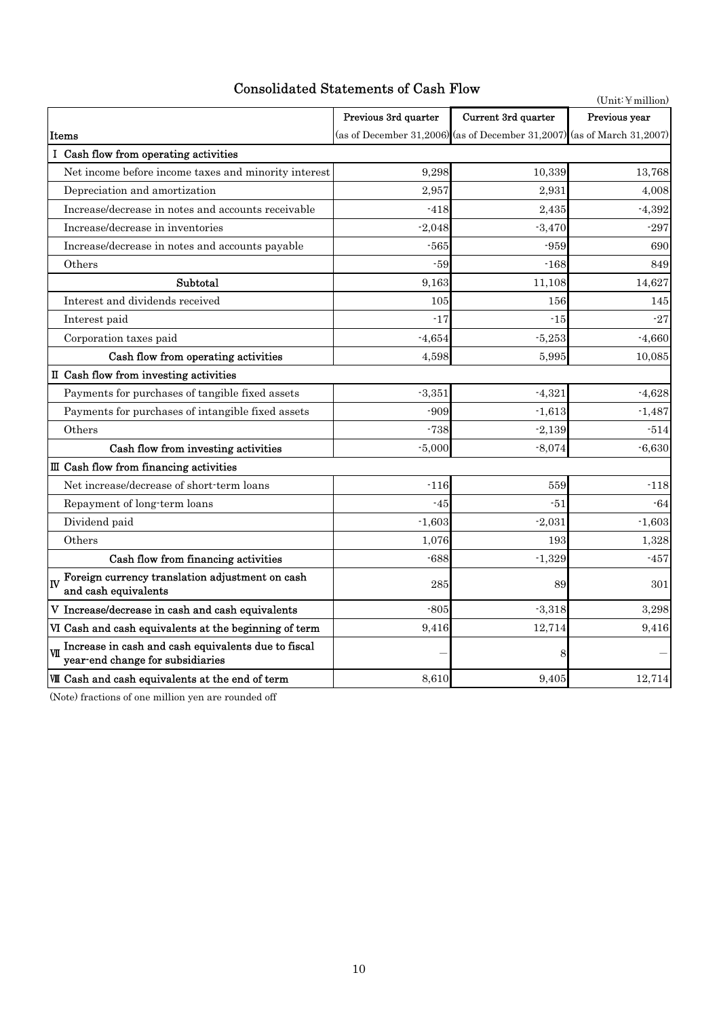# Consolidated Statements of Cash Flow

|                                                                                         | $(Unit:$ ¥ million)  |                                                                         |               |
|-----------------------------------------------------------------------------------------|----------------------|-------------------------------------------------------------------------|---------------|
|                                                                                         | Previous 3rd quarter | Current 3rd quarter                                                     | Previous year |
| Items                                                                                   |                      | (as of December 31,2006) (as of December 31,2007) (as of March 31,2007) |               |
| I Cash flow from operating activities                                                   |                      |                                                                         |               |
| Net income before income taxes and minority interest                                    | 9,298                | 10,339                                                                  | 13,768        |
| Depreciation and amortization                                                           | 2,957                | 2,931                                                                   | 4,008         |
| Increase/decrease in notes and accounts receivable                                      | $-418$               | 2,435                                                                   | $-4,392$      |
| Increase/decrease in inventories                                                        | $-2,048$             | $-3,470$                                                                | $-297$        |
| Increase/decrease in notes and accounts payable                                         | $-565$               | $-959$                                                                  | 690           |
| Others                                                                                  | $-59$                | $-168$                                                                  | 849           |
| Subtotal                                                                                | 9,163                | 11,108                                                                  | 14,627        |
| Interest and dividends received                                                         | 105                  | 156                                                                     | 145           |
| Interest paid                                                                           | $-17$                | $-15$                                                                   | $-27$         |
| Corporation taxes paid                                                                  | $-4,654$             | $-5,253$                                                                | $-4,660$      |
| Cash flow from operating activities                                                     | 4,598                | 5,995                                                                   | 10,085        |
| II Cash flow from investing activities                                                  |                      |                                                                         |               |
| Payments for purchases of tangible fixed assets                                         | $-3,351$             | $-4,321$                                                                | $-4,628$      |
| Payments for purchases of intangible fixed assets                                       | $-909$               | $-1,613$                                                                | $-1,487$      |
| Others                                                                                  | $-738$               | $-2,139$                                                                | $-514$        |
| Cash flow from investing activities                                                     | $-5,000$             | $-8,074$                                                                | $-6,630$      |
| III Cash flow from financing activities                                                 |                      |                                                                         |               |
| Net increase/decrease of short-term loans                                               | $-116$               | 559                                                                     | $-118$        |
| Repayment of long-term loans                                                            | $-45$                | $-51$                                                                   | $-64$         |
| Dividend paid                                                                           | $-1,603$             | $-2,031$                                                                | $-1,603$      |
| Others                                                                                  | 1,076                | 193                                                                     | 1,328         |
| Cash flow from financing activities                                                     | $-688$               | $-1,329$                                                                | $-457$        |
| Foreign currency translation adjustment on cash<br>lɪv<br>and cash equivalents          | 285                  | 89                                                                      | 301           |
| V Increase/decrease in cash and cash equivalents                                        | $-805$               | $-3,318$                                                                | 3,298         |
| VI Cash and cash equivalents at the beginning of term                                   | 9,416                | 12,714                                                                  | 9,416         |
| Increase in cash and cash equivalents due to fiscal<br>year-end change for subsidiaries |                      | 8                                                                       |               |
| <b>W</b> Cash and cash equivalents at the end of term                                   | 8,610                | 9,405                                                                   | 12,714        |